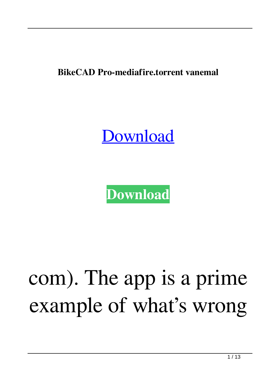**BikeCAD Pro-mediafire.torrent vanemal**

## **[Download](http://evacdir.com/mont.restarts/stratagem/tetroses?YmlrZUNBRCBwcm8tbWVkaWFmaXJlLnRvcnJlbnQYml&tioman=schiavo&ZG93bmxvYWR8eFM5TW5sbGJYeDhNVFkxTWpRMk16QTFNSHg4TWpVM05IeDhLRTBwSUhKbFlXUXRZbXh2WnlCYlJtRnpkQ0JIUlU1ZA=immortalize)**



## com). The app is a prime example of what's wrong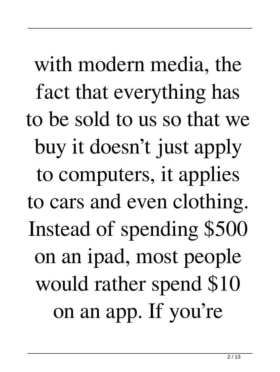with modern media, the fact that everything has to be sold to us so that we buy it doesn't just apply to computers, it applies to cars and even clothing. Instead of spending \$500 on an ipad, most people would rather spend \$10 on an app. If you're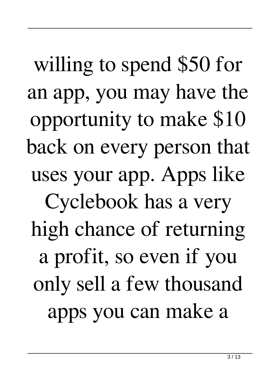willing to spend \$50 for an app, you may have the opportunity to make \$10 back on every person that uses your app. Apps like Cyclebook has a very high chance of returning a profit, so even if you only sell a few thousand apps you can make a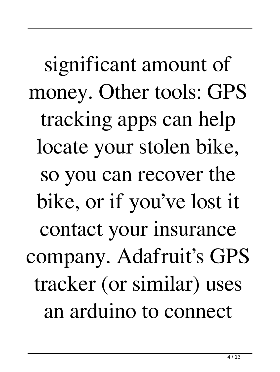significant amount of money. Other tools: GPS tracking apps can help locate your stolen bike, so you can recover the bike, or if you've lost it contact your insurance company. Adafruit's GPS tracker (or similar) uses an arduino to connect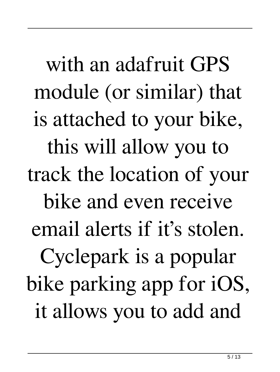with an adafruit GPS module (or similar) that is attached to your bike, this will allow you to track the location of your bike and even receive email alerts if it's stolen. Cyclepark is a popular bike parking app for iOS, it allows you to add and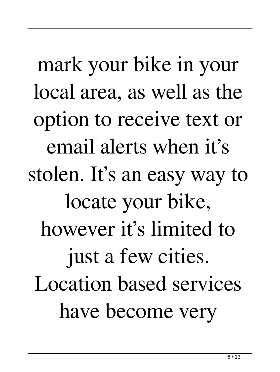mark your bike in your local area, as well as the option to receive text or email alerts when it's stolen. It's an easy way to locate your bike, however it's limited to just a few cities. Location based services have become very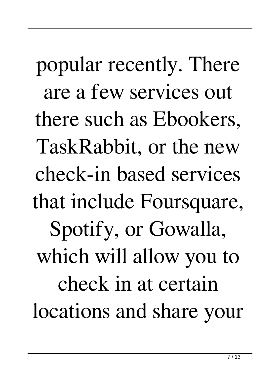popular recently. There are a few services out there such as Ebookers, TaskRabbit, or the new check-in based services that include Foursquare, Spotify, or Gowalla, which will allow you to check in at certain locations and share your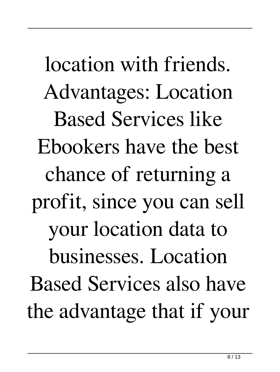location with friends. Advantages: Location Based Services like Ebookers have the best chance of returning a profit, since you can sell your location data to businesses. Location Based Services also have the advantage that if your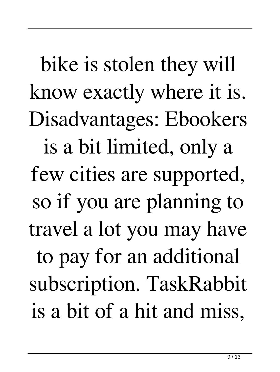bike is stolen they will know exactly where it is. Disadvantages: Ebookers is a bit limited, only a few cities are supported, so if you are planning to travel a lot you may have to pay for an additional subscription. TaskRabbit is a bit of a hit and miss,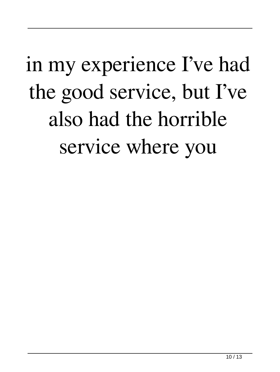## in my experience I've had the good service, but I've also had the horrible service where you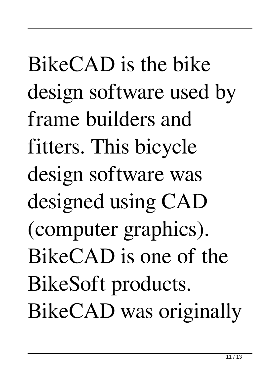BikeCAD is the bike design software used by frame builders and fitters. This bicycle design software was designed using CAD (computer graphics). BikeCAD is one of the BikeSoft products. BikeCAD was originally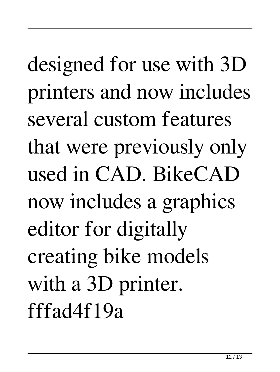## designed for use with 3D printers and now includes several custom features that were previously only used in CAD. BikeCAD now includes a graphics editor for digitally creating bike models with a 3D printer. fffad4f19a